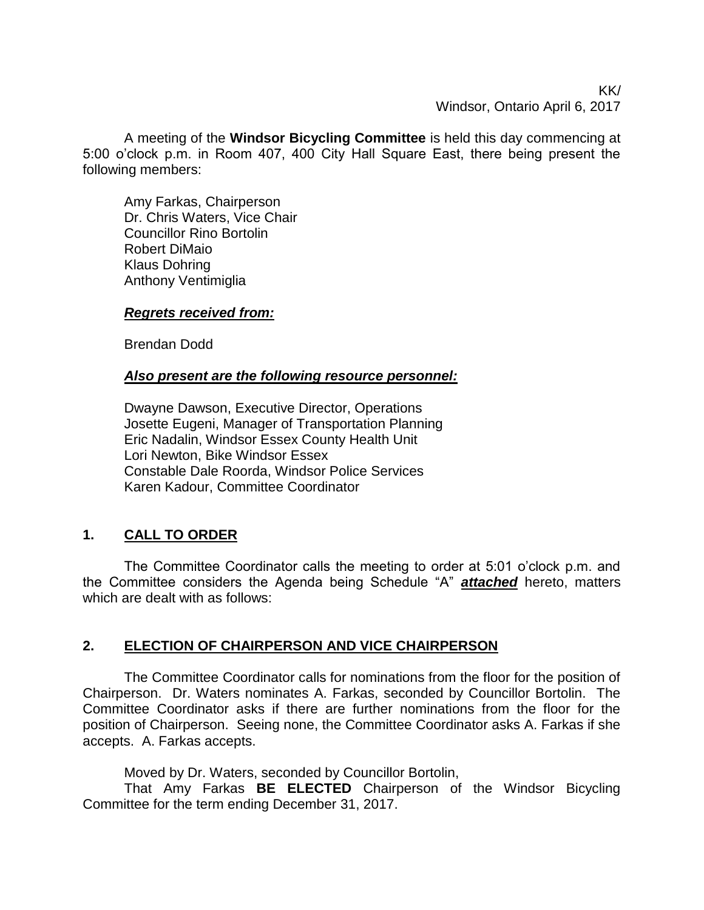KK/ Windsor, Ontario April 6, 2017

A meeting of the **Windsor Bicycling Committee** is held this day commencing at 5:00 o'clock p.m. in Room 407, 400 City Hall Square East, there being present the following members:

Amy Farkas, Chairperson Dr. Chris Waters, Vice Chair Councillor Rino Bortolin Robert DiMaio Klaus Dohring Anthony Ventimiglia

## *Regrets received from:*

Brendan Dodd

#### *Also present are the following resource personnel:*

Dwayne Dawson, Executive Director, Operations Josette Eugeni, Manager of Transportation Planning Eric Nadalin, Windsor Essex County Health Unit Lori Newton, Bike Windsor Essex Constable Dale Roorda, Windsor Police Services Karen Kadour, Committee Coordinator

# **1. CALL TO ORDER**

The Committee Coordinator calls the meeting to order at 5:01 o'clock p.m. and the Committee considers the Agenda being Schedule "A" *attached* hereto, matters which are dealt with as follows:

### **2. ELECTION OF CHAIRPERSON AND VICE CHAIRPERSON**

The Committee Coordinator calls for nominations from the floor for the position of Chairperson. Dr. Waters nominates A. Farkas, seconded by Councillor Bortolin. The Committee Coordinator asks if there are further nominations from the floor for the position of Chairperson. Seeing none, the Committee Coordinator asks A. Farkas if she accepts. A. Farkas accepts.

Moved by Dr. Waters, seconded by Councillor Bortolin,

That Amy Farkas **BE ELECTED** Chairperson of the Windsor Bicycling Committee for the term ending December 31, 2017.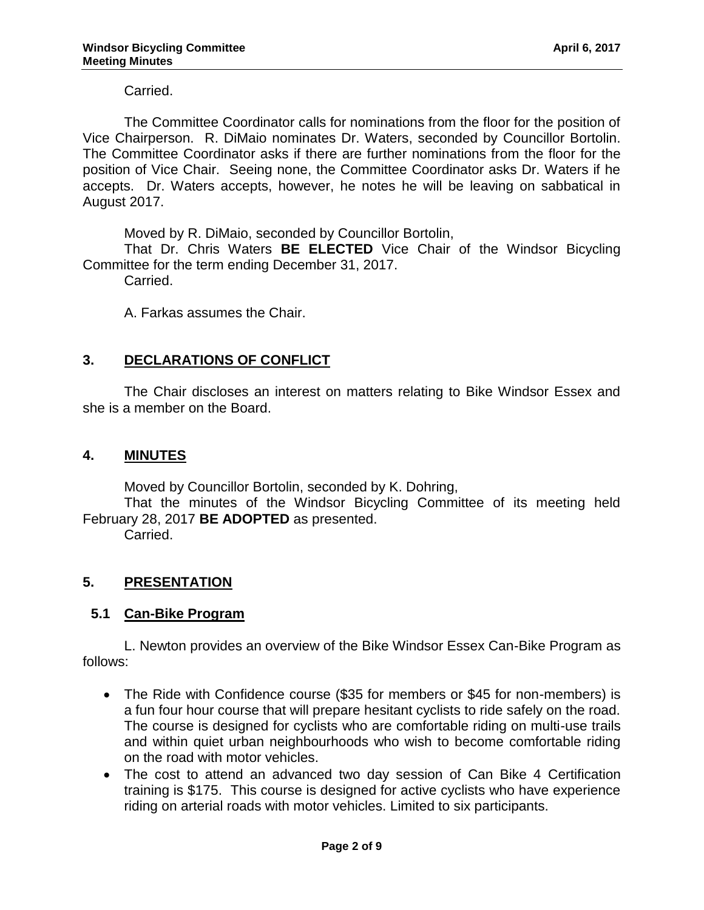Carried.

The Committee Coordinator calls for nominations from the floor for the position of Vice Chairperson. R. DiMaio nominates Dr. Waters, seconded by Councillor Bortolin. The Committee Coordinator asks if there are further nominations from the floor for the position of Vice Chair. Seeing none, the Committee Coordinator asks Dr. Waters if he accepts. Dr. Waters accepts, however, he notes he will be leaving on sabbatical in August 2017.

Moved by R. DiMaio, seconded by Councillor Bortolin,

That Dr. Chris Waters **BE ELECTED** Vice Chair of the Windsor Bicycling Committee for the term ending December 31, 2017.

Carried.

A. Farkas assumes the Chair.

### **3. DECLARATIONS OF CONFLICT**

The Chair discloses an interest on matters relating to Bike Windsor Essex and she is a member on the Board.

#### **4. MINUTES**

Moved by Councillor Bortolin, seconded by K. Dohring,

That the minutes of the Windsor Bicycling Committee of its meeting held February 28, 2017 **BE ADOPTED** as presented.

Carried.

### **5. PRESENTATION**

### **5.1 Can-Bike Program**

L. Newton provides an overview of the Bike Windsor Essex Can-Bike Program as follows:

- The Ride with Confidence course (\$35 for members or \$45 for non-members) is a fun four hour course that will prepare hesitant cyclists to ride safely on the road. The course is designed for cyclists who are comfortable riding on multi-use trails and within quiet urban neighbourhoods who wish to become comfortable riding on the road with motor vehicles.
- The cost to attend an advanced two day session of Can Bike 4 Certification training is \$175. This course is designed for active cyclists who have experience riding on arterial roads with motor vehicles. Limited to six participants.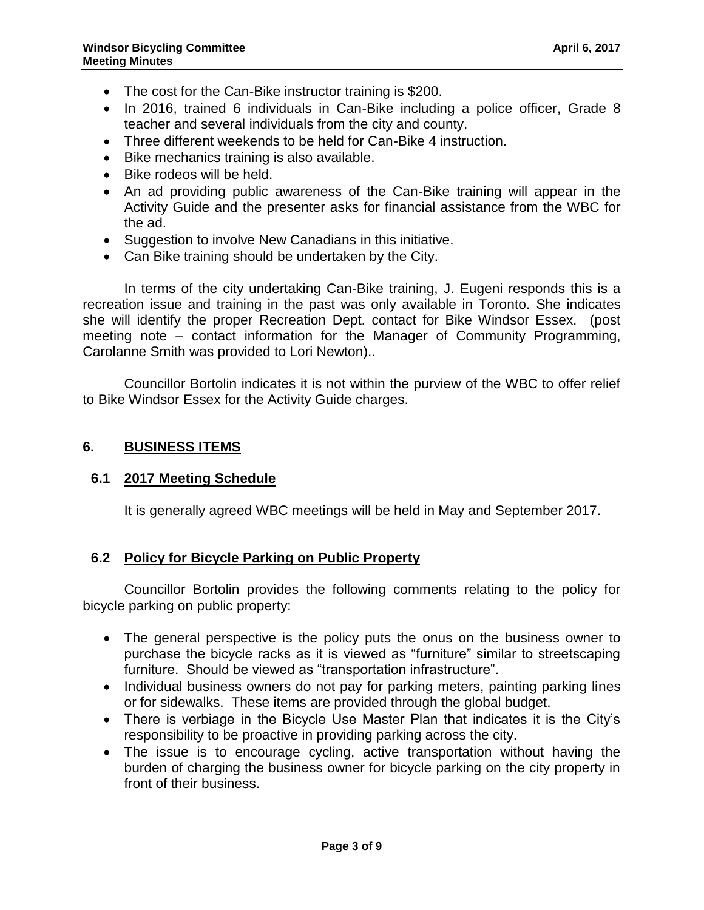- The cost for the Can-Bike instructor training is \$200.
- In 2016, trained 6 individuals in Can-Bike including a police officer, Grade 8 teacher and several individuals from the city and county.
- Three different weekends to be held for Can-Bike 4 instruction.
- Bike mechanics training is also available.
- Bike rodeos will be held.
- An ad providing public awareness of the Can-Bike training will appear in the Activity Guide and the presenter asks for financial assistance from the WBC for the ad.
- Suggestion to involve New Canadians in this initiative.
- Can Bike training should be undertaken by the City.

In terms of the city undertaking Can-Bike training, J. Eugeni responds this is a recreation issue and training in the past was only available in Toronto. She indicates she will identify the proper Recreation Dept. contact for Bike Windsor Essex. (post meeting note – contact information for the Manager of Community Programming, Carolanne Smith was provided to Lori Newton)..

Councillor Bortolin indicates it is not within the purview of the WBC to offer relief to Bike Windsor Essex for the Activity Guide charges.

#### **6. BUSINESS ITEMS**

#### **6.1 2017 Meeting Schedule**

It is generally agreed WBC meetings will be held in May and September 2017.

### **6.2 Policy for Bicycle Parking on Public Property**

Councillor Bortolin provides the following comments relating to the policy for bicycle parking on public property:

- The general perspective is the policy puts the onus on the business owner to purchase the bicycle racks as it is viewed as "furniture" similar to streetscaping furniture. Should be viewed as "transportation infrastructure".
- Individual business owners do not pay for parking meters, painting parking lines or for sidewalks. These items are provided through the global budget.
- There is verbiage in the Bicycle Use Master Plan that indicates it is the City's responsibility to be proactive in providing parking across the city.
- The issue is to encourage cycling, active transportation without having the burden of charging the business owner for bicycle parking on the city property in front of their business.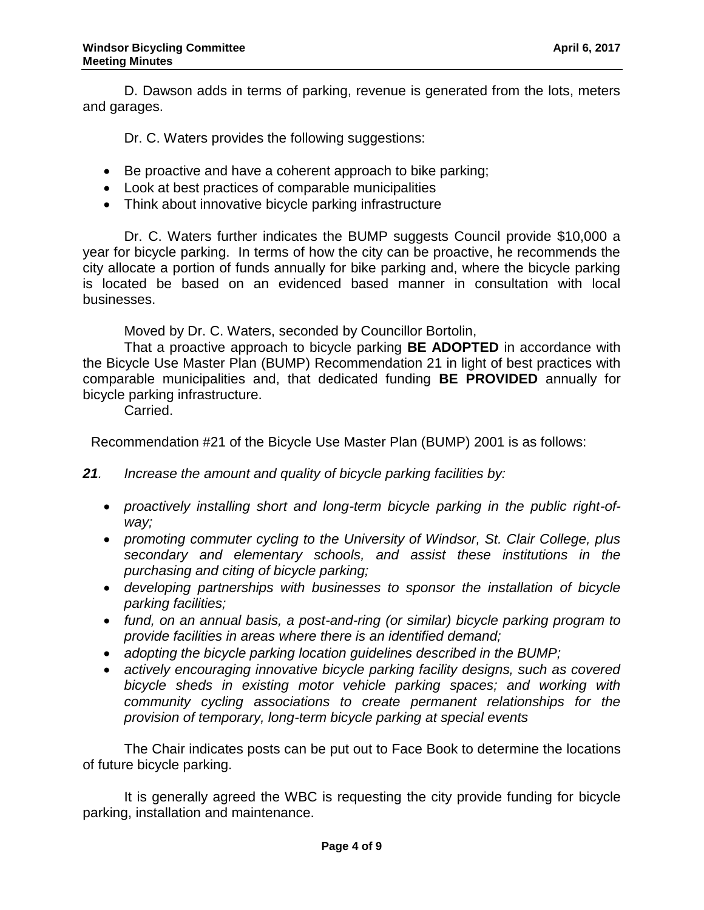D. Dawson adds in terms of parking, revenue is generated from the lots, meters and garages.

Dr. C. Waters provides the following suggestions:

- Be proactive and have a coherent approach to bike parking;
- Look at best practices of comparable municipalities
- Think about innovative bicycle parking infrastructure

Dr. C. Waters further indicates the BUMP suggests Council provide \$10,000 a year for bicycle parking. In terms of how the city can be proactive, he recommends the city allocate a portion of funds annually for bike parking and, where the bicycle parking is located be based on an evidenced based manner in consultation with local businesses.

Moved by Dr. C. Waters, seconded by Councillor Bortolin,

That a proactive approach to bicycle parking **BE ADOPTED** in accordance with the Bicycle Use Master Plan (BUMP) Recommendation 21 in light of best practices with comparable municipalities and, that dedicated funding **BE PROVIDED** annually for bicycle parking infrastructure.

Carried.

Recommendation #21 of the Bicycle Use Master Plan (BUMP) 2001 is as follows:

*21. Increase the amount and quality of bicycle parking facilities by:*

- proactively installing short and long-term bicycle parking in the public right-of*way;*
- *promoting commuter cycling to the University of Windsor, St. Clair College, plus secondary and elementary schools, and assist these institutions in the purchasing and citing of bicycle parking;*
- *developing partnerships with businesses to sponsor the installation of bicycle parking facilities;*
- *fund, on an annual basis, a post-and-ring (or similar) bicycle parking program to provide facilities in areas where there is an identified demand;*
- *adopting the bicycle parking location guidelines described in the BUMP;*
- *actively encouraging innovative bicycle parking facility designs, such as covered bicycle sheds in existing motor vehicle parking spaces; and working with community cycling associations to create permanent relationships for the provision of temporary, long-term bicycle parking at special events*

The Chair indicates posts can be put out to Face Book to determine the locations of future bicycle parking.

It is generally agreed the WBC is requesting the city provide funding for bicycle parking, installation and maintenance.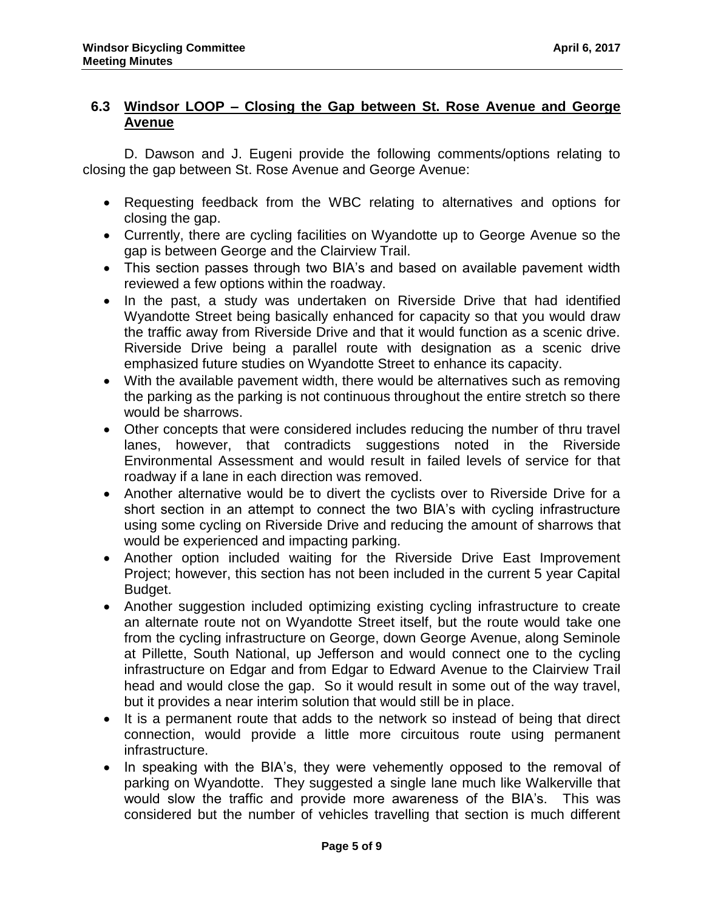# **6.3 Windsor LOOP – Closing the Gap between St. Rose Avenue and George Avenue**

D. Dawson and J. Eugeni provide the following comments/options relating to closing the gap between St. Rose Avenue and George Avenue:

- Requesting feedback from the WBC relating to alternatives and options for closing the gap.
- Currently, there are cycling facilities on Wyandotte up to George Avenue so the gap is between George and the Clairview Trail.
- This section passes through two BIA's and based on available pavement width reviewed a few options within the roadway.
- In the past, a study was undertaken on Riverside Drive that had identified Wyandotte Street being basically enhanced for capacity so that you would draw the traffic away from Riverside Drive and that it would function as a scenic drive. Riverside Drive being a parallel route with designation as a scenic drive emphasized future studies on Wyandotte Street to enhance its capacity.
- With the available pavement width, there would be alternatives such as removing the parking as the parking is not continuous throughout the entire stretch so there would be sharrows.
- Other concepts that were considered includes reducing the number of thru travel lanes, however, that contradicts suggestions noted in the Riverside Environmental Assessment and would result in failed levels of service for that roadway if a lane in each direction was removed.
- Another alternative would be to divert the cyclists over to Riverside Drive for a short section in an attempt to connect the two BIA's with cycling infrastructure using some cycling on Riverside Drive and reducing the amount of sharrows that would be experienced and impacting parking.
- Another option included waiting for the Riverside Drive East Improvement Project; however, this section has not been included in the current 5 year Capital Budget.
- Another suggestion included optimizing existing cycling infrastructure to create an alternate route not on Wyandotte Street itself, but the route would take one from the cycling infrastructure on George, down George Avenue, along Seminole at Pillette, South National, up Jefferson and would connect one to the cycling infrastructure on Edgar and from Edgar to Edward Avenue to the Clairview Trail head and would close the gap. So it would result in some out of the way travel, but it provides a near interim solution that would still be in place.
- It is a permanent route that adds to the network so instead of being that direct connection, would provide a little more circuitous route using permanent infrastructure.
- In speaking with the BIA's, they were vehemently opposed to the removal of parking on Wyandotte. They suggested a single lane much like Walkerville that would slow the traffic and provide more awareness of the BIA's. This was considered but the number of vehicles travelling that section is much different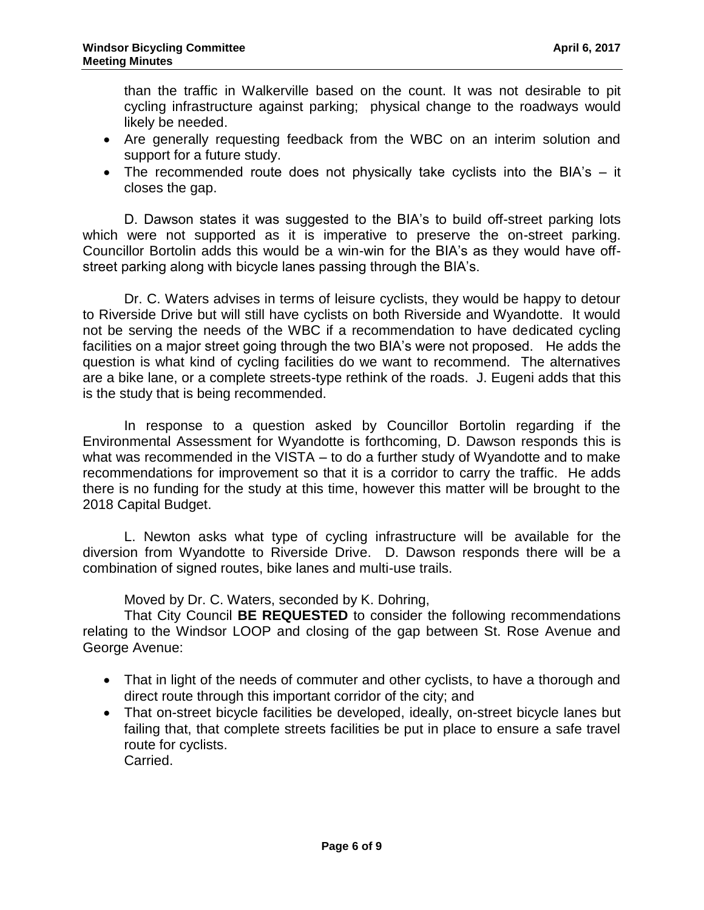than the traffic in Walkerville based on the count. It was not desirable to pit cycling infrastructure against parking; physical change to the roadways would likely be needed.

- Are generally requesting feedback from the WBC on an interim solution and support for a future study.
- The recommended route does not physically take cyclists into the BIA's  $-$  it closes the gap.

D. Dawson states it was suggested to the BIA's to build off-street parking lots which were not supported as it is imperative to preserve the on-street parking. Councillor Bortolin adds this would be a win-win for the BIA's as they would have offstreet parking along with bicycle lanes passing through the BIA's.

Dr. C. Waters advises in terms of leisure cyclists, they would be happy to detour to Riverside Drive but will still have cyclists on both Riverside and Wyandotte. It would not be serving the needs of the WBC if a recommendation to have dedicated cycling facilities on a major street going through the two BIA's were not proposed. He adds the question is what kind of cycling facilities do we want to recommend. The alternatives are a bike lane, or a complete streets-type rethink of the roads. J. Eugeni adds that this is the study that is being recommended.

In response to a question asked by Councillor Bortolin regarding if the Environmental Assessment for Wyandotte is forthcoming, D. Dawson responds this is what was recommended in the VISTA – to do a further study of Wyandotte and to make recommendations for improvement so that it is a corridor to carry the traffic. He adds there is no funding for the study at this time, however this matter will be brought to the 2018 Capital Budget.

L. Newton asks what type of cycling infrastructure will be available for the diversion from Wyandotte to Riverside Drive. D. Dawson responds there will be a combination of signed routes, bike lanes and multi-use trails.

Moved by Dr. C. Waters, seconded by K. Dohring,

That City Council **BE REQUESTED** to consider the following recommendations relating to the Windsor LOOP and closing of the gap between St. Rose Avenue and George Avenue:

- That in light of the needs of commuter and other cyclists, to have a thorough and direct route through this important corridor of the city; and
- That on-street bicycle facilities be developed, ideally, on-street bicycle lanes but failing that, that complete streets facilities be put in place to ensure a safe travel route for cyclists. Carried.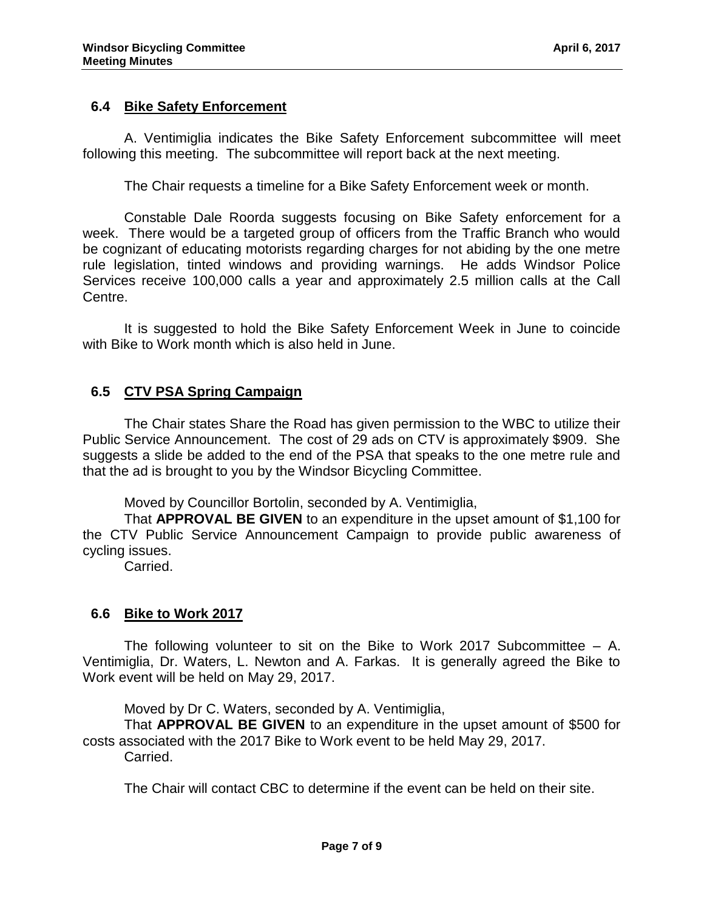### **6.4 Bike Safety Enforcement**

A. Ventimiglia indicates the Bike Safety Enforcement subcommittee will meet following this meeting. The subcommittee will report back at the next meeting.

The Chair requests a timeline for a Bike Safety Enforcement week or month.

Constable Dale Roorda suggests focusing on Bike Safety enforcement for a week. There would be a targeted group of officers from the Traffic Branch who would be cognizant of educating motorists regarding charges for not abiding by the one metre rule legislation, tinted windows and providing warnings. He adds Windsor Police Services receive 100,000 calls a year and approximately 2.5 million calls at the Call Centre.

It is suggested to hold the Bike Safety Enforcement Week in June to coincide with Bike to Work month which is also held in June.

## **6.5 CTV PSA Spring Campaign**

The Chair states Share the Road has given permission to the WBC to utilize their Public Service Announcement. The cost of 29 ads on CTV is approximately \$909. She suggests a slide be added to the end of the PSA that speaks to the one metre rule and that the ad is brought to you by the Windsor Bicycling Committee.

Moved by Councillor Bortolin, seconded by A. Ventimiglia,

That **APPROVAL BE GIVEN** to an expenditure in the upset amount of \$1,100 for the CTV Public Service Announcement Campaign to provide public awareness of cycling issues.

Carried.

### **6.6 Bike to Work 2017**

The following volunteer to sit on the Bike to Work 2017 Subcommittee  $-$  A. Ventimiglia, Dr. Waters, L. Newton and A. Farkas. It is generally agreed the Bike to Work event will be held on May 29, 2017.

Moved by Dr C. Waters, seconded by A. Ventimiglia,

That **APPROVAL BE GIVEN** to an expenditure in the upset amount of \$500 for costs associated with the 2017 Bike to Work event to be held May 29, 2017.

Carried.

The Chair will contact CBC to determine if the event can be held on their site.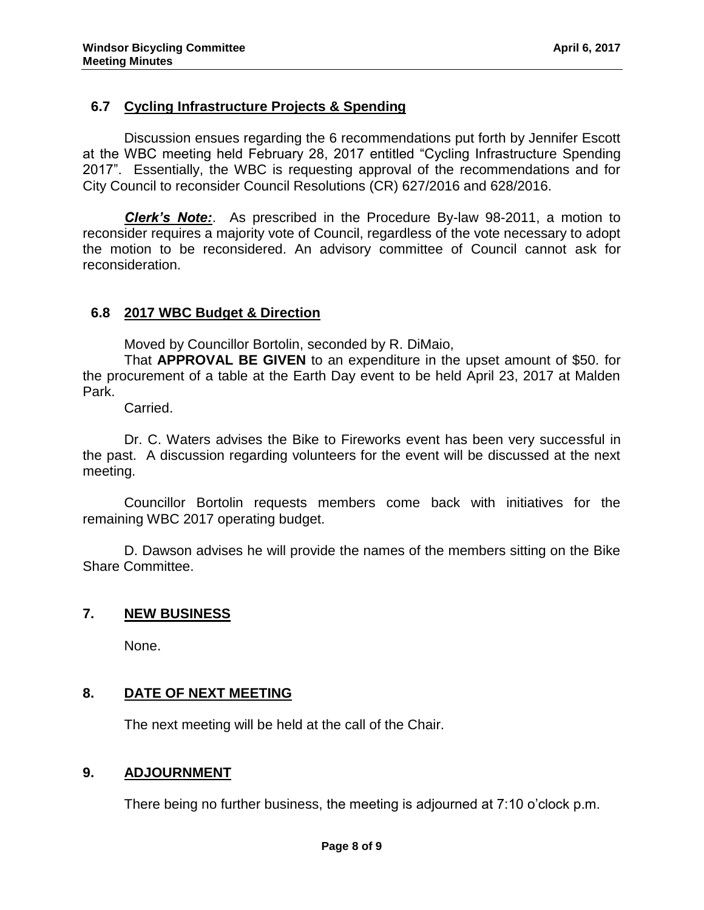### **6.7 Cycling Infrastructure Projects & Spending**

Discussion ensues regarding the 6 recommendations put forth by Jennifer Escott at the WBC meeting held February 28, 2017 entitled "Cycling Infrastructure Spending 2017". Essentially, the WBC is requesting approval of the recommendations and for City Council to reconsider Council Resolutions (CR) 627/2016 and 628/2016.

*Clerk's Note:*. As prescribed in the Procedure By-law 98-2011, a motion to reconsider requires a majority vote of Council, regardless of the vote necessary to adopt the motion to be reconsidered. An advisory committee of Council cannot ask for reconsideration.

### **6.8 2017 WBC Budget & Direction**

Moved by Councillor Bortolin, seconded by R. DiMaio,

That **APPROVAL BE GIVEN** to an expenditure in the upset amount of \$50. for the procurement of a table at the Earth Day event to be held April 23, 2017 at Malden Park.

Carried.

Dr. C. Waters advises the Bike to Fireworks event has been very successful in the past. A discussion regarding volunteers for the event will be discussed at the next meeting.

Councillor Bortolin requests members come back with initiatives for the remaining WBC 2017 operating budget.

D. Dawson advises he will provide the names of the members sitting on the Bike Share Committee.

### **7. NEW BUSINESS**

None.

### **8. DATE OF NEXT MEETING**

The next meeting will be held at the call of the Chair.

### **9. ADJOURNMENT**

There being no further business, the meeting is adjourned at 7:10 o'clock p.m.